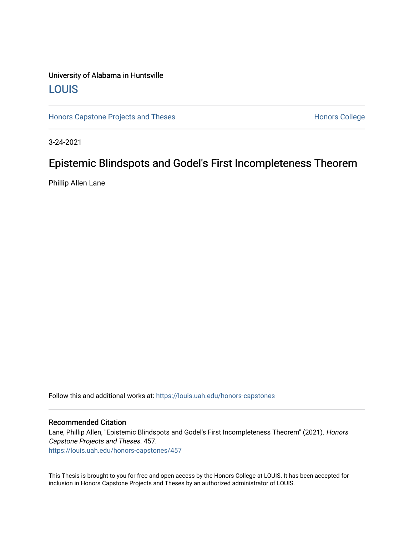# University of Alabama in Huntsville [LOUIS](https://louis.uah.edu/)

[Honors Capstone Projects and Theses](https://louis.uah.edu/honors-capstones) **Honors College** Honors College

3-24-2021

# Epistemic Blindspots and Godel's First Incompleteness Theorem

Phillip Allen Lane

Follow this and additional works at: [https://louis.uah.edu/honors-capstones](https://louis.uah.edu/honors-capstones?utm_source=louis.uah.edu%2Fhonors-capstones%2F457&utm_medium=PDF&utm_campaign=PDFCoverPages) 

## Recommended Citation

Lane, Phillip Allen, "Epistemic Blindspots and Godel's First Incompleteness Theorem" (2021). Honors Capstone Projects and Theses. 457. [https://louis.uah.edu/honors-capstones/457](https://louis.uah.edu/honors-capstones/457?utm_source=louis.uah.edu%2Fhonors-capstones%2F457&utm_medium=PDF&utm_campaign=PDFCoverPages) 

This Thesis is brought to you for free and open access by the Honors College at LOUIS. It has been accepted for inclusion in Honors Capstone Projects and Theses by an authorized administrator of LOUIS.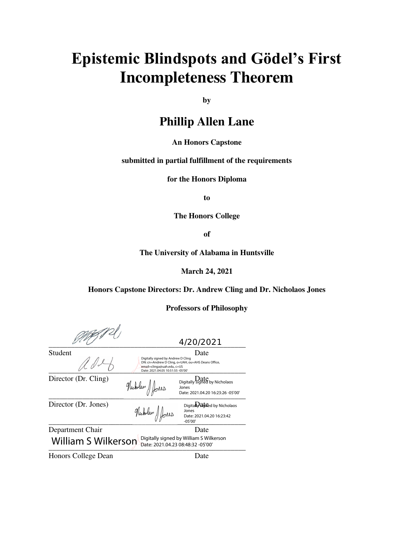# Epistemic Blindspots and Gödel's First **Incompleteness Theorem**

**by** 

# **Phillip Allen Lane**

# **An Honors Capstone**

### **submitted in partial fulfillment of the requirements**

**for the Honors Diploma** 

**to** 

**The Honors College** 

**of** 

**The University of Alabama in Huntsville** 

**March 24, 2021** 

**Honors Capstone Directors: Dr. Andrew Cling and Dr. Nicholaos Jones** 

**Professors of Philosophy** 

|                                                                                                            |                                                                                                                                                                     | 4/20/2021                                                                       |  |  |  |
|------------------------------------------------------------------------------------------------------------|---------------------------------------------------------------------------------------------------------------------------------------------------------------------|---------------------------------------------------------------------------------|--|--|--|
| Student                                                                                                    | Date<br>Digitally signed by Andrew D Cling<br>DN: cn=Andrew D Cling, o=UAH, ou=AHS Deans Office,<br>email=clinga@uah.edu, c=US<br>Date: 2021.04.05 10:51:55 -05'00' |                                                                                 |  |  |  |
| Director (Dr. Cling)                                                                                       | Nicholas Jones                                                                                                                                                      | Digitally signed by Nicholaos<br>Jones<br>Date: 2021.04.20 16:23:26 -05'00'     |  |  |  |
| Director (Dr. Jones)                                                                                       | Nicholas Jones                                                                                                                                                      | Digitaly at Red by Nicholaos<br>Jones<br>Date: 2021.04.20 16:23:42<br>$-05'00'$ |  |  |  |
| Department Chair                                                                                           |                                                                                                                                                                     | Date                                                                            |  |  |  |
| Digitally signed by William S Wilkerson<br><b>William S Wilkerson</b><br>Date: 2021.04.23 08:48:32 -05'00' |                                                                                                                                                                     |                                                                                 |  |  |  |
|                                                                                                            |                                                                                                                                                                     |                                                                                 |  |  |  |

Honors College Dean Date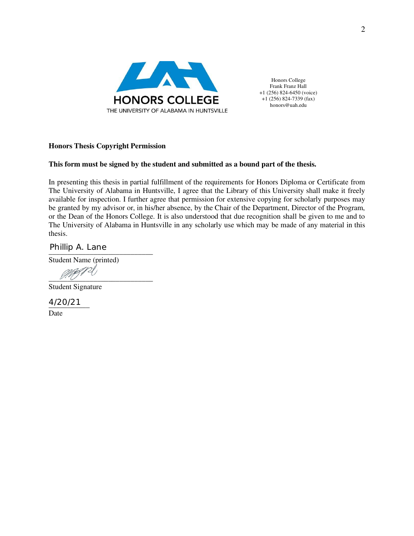

Honors College Frank Franz Hall +1 (256) 824-6450 (voice) +1 (256) 824-7339 (fax) honors@uah.edu

# **Honors Thesis Copyright Permission**

# **This form must be signed by the student and submitted as a bound part of the thesis.**

In presenting this thesis in partial fulfillment of the requirements for Honors Diploma or Certificate from The University of Alabama in Huntsville, I agree that the Library of this University shall make it freely available for inspection. I further agree that permission for extensive copying for scholarly purposes may be granted by my advisor or, in his/her absence, by the Chair of the Department, Director of the Program, or the Dean of the Honors College. It is also understood that due recognition shall be given to me and to The University of Alabama in Huntsville in any scholarly use which may be made of any material in this thesis.

Phillip A. Lane<br>————————————————————

Student Name (printed)

 $\mathcal{W}(\mathcal{V})$ 

Student Signature

\_\_\_\_\_\_\_\_\_\_\_ 4/20/21 Date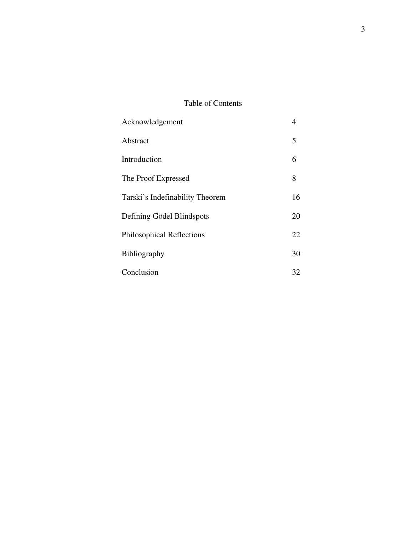# Table of Contents

| Acknowledgement                  | $\overline{4}$ |
|----------------------------------|----------------|
| Abstract                         | 5              |
| Introduction                     | 6              |
| The Proof Expressed              | 8              |
| Tarski's Indefinability Theorem  | 16             |
| Defining Gödel Blindspots        | 20             |
| <b>Philosophical Reflections</b> | 22             |
| Bibliography                     | 30             |
| Conclusion                       | 32             |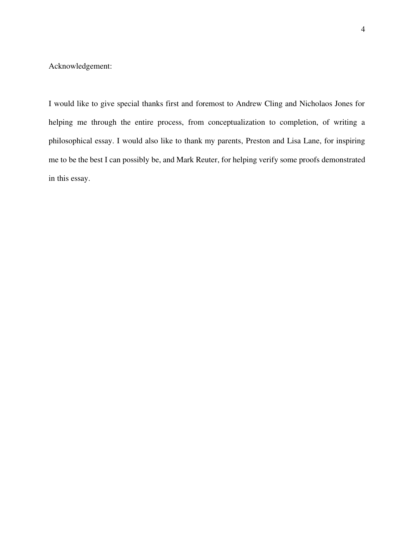Acknowledgement:

I would like to give special thanks first and foremost to Andrew Cling and Nicholaos Jones for helping me through the entire process, from conceptualization to completion, of writing a philosophical essay. I would also like to thank my parents, Preston and Lisa Lane, for inspiring me to be the best I can possibly be, and Mark Reuter, for helping verify some proofs demonstrated in this essay.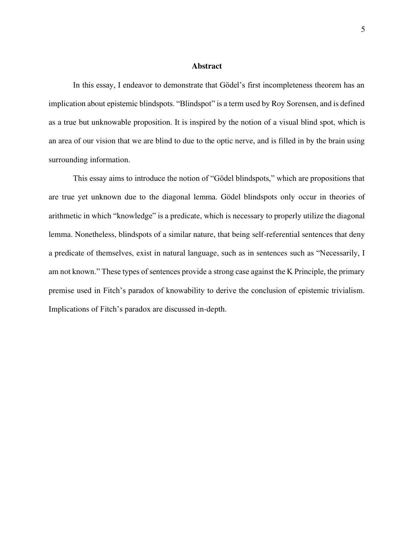#### **Abstract**

In this essay, I endeavor to demonstrate that Gödel's first incompleteness theorem has an implication about epistemic blindspots. "Blindspot" is a term used by Roy Sorensen, and is defined as a true but unknowable proposition. It is inspired by the notion of a visual blind spot, which is an area of our vision that we are blind to due to the optic nerve, and is filled in by the brain using surrounding information.

This essay aims to introduce the notion of "Gödel blindspots," which are propositions that are true yet unknown due to the diagonal lemma. Gödel blindspots only occur in theories of arithmetic in which "knowledge" is a predicate, which is necessary to properly utilize the diagonal lemma. Nonetheless, blindspots of a similar nature, that being self-referential sentences that deny a predicate of themselves, exist in natural language, such as in sentences such as "Necessarily, I am not known." These types of sentences provide a strong case against the K Principle, the primary premise used in Fitch's paradox of knowability to derive the conclusion of epistemic trivialism. Implications of Fitch's paradox are discussed in-depth.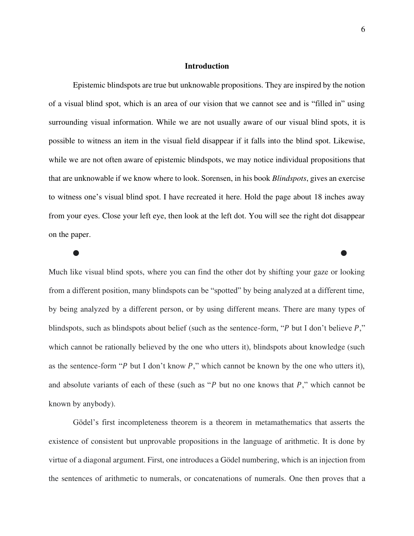#### **Introduction**

 Epistemic blindspots are true but unknowable propositions. They are inspired by the notion of a visual blind spot, which is an area of our vision that we cannot see and is "filled in" using surrounding visual information. While we are not usually aware of our visual blind spots, it is possible to witness an item in the visual field disappear if it falls into the blind spot. Likewise, while we are not often aware of epistemic blindspots, we may notice individual propositions that that are unknowable if we know where to look. Sorensen, in his book Blindspots, gives an exercise to witness one's visual blind spot. I have recreated it here. Hold the page about 18 inches away from your eyes. Close your left eye, then look at the left dot. You will see the right dot disappear on the paper.

Much like visual blind spots, where you can find the other dot by shifting your gaze or looking from a different position, many blindspots can be "spotted" by being analyzed at a different time, by being analyzed by a different person, or by using different means. There are many types of blindspots, such as blindspots about belief (such as the sentence-form, " $P$  but I don't believe  $P$ ," which cannot be rationally believed by the one who utters it), blindspots about knowledge (such as the sentence-form " $P$  but I don't know  $P$ ," which cannot be known by the one who utters it), and absolute variants of each of these (such as " $P$  but no one knows that  $P$ ," which cannot be known by anybody).

⬤ ⬤

Gödel's first incompleteness theorem is a theorem in metamathematics that asserts the existence of consistent but unprovable propositions in the language of arithmetic. It is done by virtue of a diagonal argument. First, one introduces a Gödel numbering, which is an injection from the sentences of arithmetic to numerals, or concatenations of numerals. One then proves that a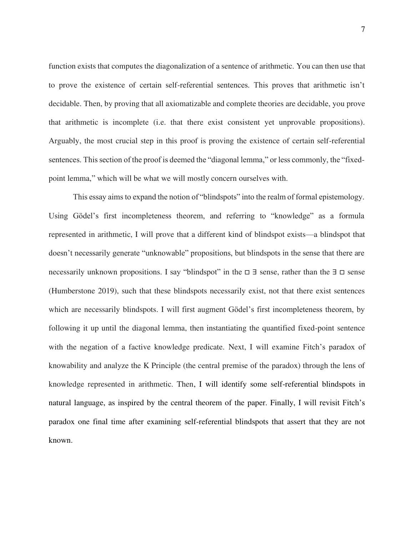function exists that computes the diagonalization of a sentence of arithmetic. You can then use that to prove the existence of certain self-referential sentences. This proves that arithmetic isn't decidable. Then, by proving that all axiomatizable and complete theories are decidable, you prove that arithmetic is incomplete (i.e. that there exist consistent yet unprovable propositions). Arguably, the most crucial step in this proof is proving the existence of certain self-referential sentences. This section of the proof is deemed the "diagonal lemma," or less commonly, the "fixedpoint lemma," which will be what we will mostly concern ourselves with.

This essay aims to expand the notion of "blindspots" into the realm of formal epistemology. Using Gödel's first incompleteness theorem, and referring to "knowledge" as a formula represented in arithmetic, I will prove that a different kind of blindspot exists—a blindspot that doesn't necessarily generate "unknowable" propositions, but blindspots in the sense that there are necessarily unknown propositions. I say "blindspot" in the □ ∃ sense, rather than the ∃ □ sense (Humberstone 2019), such that these blindspots necessarily exist, not that there exist sentences which are necessarily blindspots. I will first augment Gödel's first incompleteness theorem, by following it up until the diagonal lemma, then instantiating the quantified fixed-point sentence with the negation of a factive knowledge predicate. Next, I will examine Fitch's paradox of knowability and analyze the K Principle (the central premise of the paradox) through the lens of knowledge represented in arithmetic. Then, I will identify some self-referential blindspots in natural language, as inspired by the central theorem of the paper. Finally, I will revisit Fitch's paradox one final time after examining self-referential blindspots that assert that they are not known.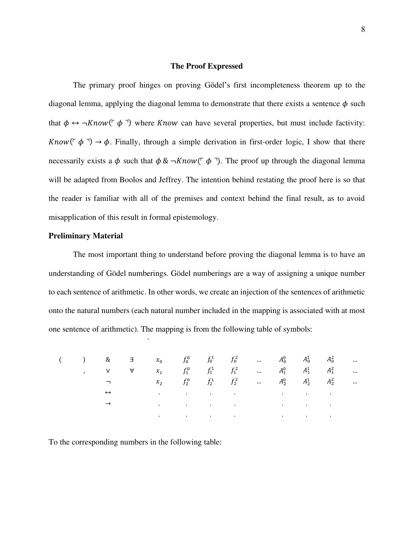#### **The Proof Expressed**

The primary proof hinges on proving Gödel's first incompleteness theorem up to the diagonal lemma, applying the diagonal lemma to demonstrate that there exists a sentence  $\phi$  such that  $\phi \leftrightarrow \neg Know(\neg \phi \neg)$  where *Know* can have several properties, but must include factivity:  $Know(\ulcorner \phi \urcorner) \rightarrow \phi$ . Finally, through a simple derivation in first-order logic, I show that there necessarily exists a  $\phi$  such that  $\phi \& \neg Know(\ulcorner \phi \urcorner)$ . The proof up through the diagonal lemma will be adapted from Boolos and Jeffrey. The intention behind restating the proof here is so that the reader is familiar with all of the premises and context behind the final result, as to avoid misapplication of this result in formal epistemology.

# **Preliminary Material**

 The most important thing to understand before proving the diagonal lemma is to have an understanding of Gödel numberings. Gödel numberings are a way of assigning a unique number to each sentence of arithmetic. In other words, we create an injection of the sentences of arithmetic onto the natural numbers (each natural number included in the mapping is associated with at most one sentence of arithmetic). The mapping is from the following table of symbols:

|  |                   |                | ( ) & $\exists x_0$ $f_0^0$ $f_0^1$ $f_0^2$ $A_0^0$ $A_0^1$ $A_0^2$ |                                                                                                                                                                                                                                          |  |  |  |  |
|--|-------------------|----------------|---------------------------------------------------------------------|------------------------------------------------------------------------------------------------------------------------------------------------------------------------------------------------------------------------------------------|--|--|--|--|
|  |                   |                |                                                                     |                                                                                                                                                                                                                                          |  |  |  |  |
|  |                   | $\blacksquare$ |                                                                     | $x_2$ $f_2^0$ $f_2^1$ $f_2^2$ $A_2^0$ $A_2^1$ $A_2^2$                                                                                                                                                                                    |  |  |  |  |
|  | $\leftrightarrow$ |                |                                                                     | $\mathbf{e}^{(i)}$ and $\mathbf{e}^{(i)}$ are the set of the set of the set of the set of the set of the set of the set of the set of the set of the set of the set of the set of the set of the set of the set of the set of the set of |  |  |  |  |
|  |                   |                |                                                                     | the control of the control of the control of the control of the control of                                                                                                                                                               |  |  |  |  |
|  |                   |                |                                                                     | $\mathbf{e}^{(i)}$ and $\mathbf{e}^{(i)}$ are the set of the set of the set of the set of the set of the set of the set of the set of the set of the set of the set of the set of the set of the set of the set of the set of the set of |  |  |  |  |

To the corresponding numbers in the following table: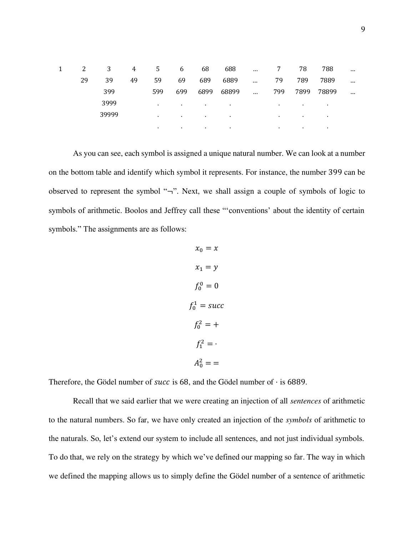| 2  | 3     | 4  | 5            | 6         | 68      | 688       | $\ddotsc$ | 7         | 78      | 788   | $\cdots$ |
|----|-------|----|--------------|-----------|---------|-----------|-----------|-----------|---------|-------|----------|
| 29 | 39    | 49 | 59           | 69        | 689     | 6889      | $\ddotsc$ | 79        | 789     | 7889  | $\cdots$ |
|    | 399   |    | 599          | 699       | 6899    | 68899     | $\sim$    | 799       | 7899    | 78899 | $\cdots$ |
|    | 3999  |    | $\bullet$    | $\bullet$ | . .     | $\sim$    |           | $\sim$    |         | ٠.    |          |
|    | 39999 |    | $\mathbf{r}$ | $\sim$    | $\sim$  | $\bullet$ |           | $\bullet$ | $\cdot$ | ٠.    |          |
|    |       |    | $\sim$       | $\sim$    | $\cdot$ | $\bullet$ |           | $\cdot$   | $\cdot$ | ٠.    |          |

As you can see, each symbol is assigned a unique natural number. We can look at a number on the bottom table and identify which symbol it represents. For instance, the number 399 can be observed to represent the symbol "¬". Next, we shall assign a couple of symbols of logic to symbols of arithmetic. Boolos and Jeffrey call these "'conventions' about the identity of certain symbols." The assignments are as follows:

$$
x_0 = x
$$
  
\n
$$
x_1 = y
$$
  
\n
$$
f_0^0 = 0
$$
  
\n
$$
f_0^1 = \text{succ}
$$
  
\n
$$
f_0^2 = +
$$
  
\n
$$
f_1^2 = \cdot
$$
  
\n
$$
A_0^2 = -
$$

Therefore, the Gödel number of *succ* is 68, and the Gödel number of  $\cdot$  is 6889.

 Recall that we said earlier that we were creating an injection of all sentences of arithmetic to the natural numbers. So far, we have only created an injection of the symbols of arithmetic to the naturals. So, let's extend our system to include all sentences, and not just individual symbols. To do that, we rely on the strategy by which we've defined our mapping so far. The way in which we defined the mapping allows us to simply define the Gödel number of a sentence of arithmetic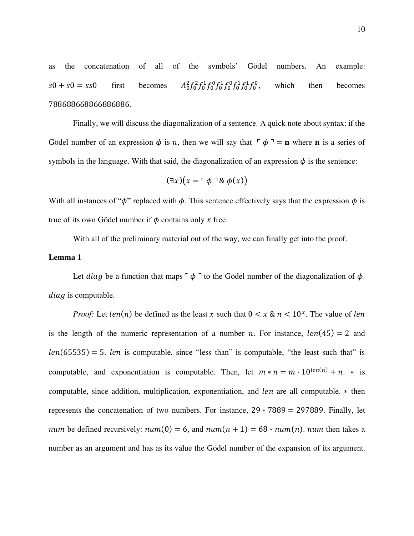as the concatenation of all of the symbols' Gödel numbers. An example:  $s0 + s0 = ss0$  first becomes  ${}^{2}_{0}f^{2}_{0}f^{1}_{0}f^{0}_{0}f^{1}_{0}f^{0}_{0}f^{1}_{0}f^{1}_{0}f^{0}_{0}$ which then becomes 788688668866886886.

 Finally, we will discuss the diagonalization of a sentence. A quick note about syntax: if the Gödel number of an expression  $\phi$  is *n*, then we will say that  $\phi$ <sup>-</sup> = **n** where **n** is a series of symbols in the language. With that said, the diagonalization of an expression  $\phi$  is the sentence:

$$
(\exists x)(x = \ulcorner \phi \urcorner \& \phi(x))
$$

With all instances of " $\phi$ " replaced with  $\phi$ . This sentence effectively says that the expression  $\phi$  is true of its own Gödel number if  $\phi$  contains only  $\chi$  free.

With all of the preliminary material out of the way, we can finally get into the proof.

## **Lemma 1**

Let *diag* be a function that maps  $\phi \rightarrow$  to the Gödel number of the diagonalization of  $\phi$ .  $diag$  is computable.

*Proof:* Let  $len(n)$  be defined as the least x such that  $0 < x \& n < 10^x$ . The value of len is the length of the numeric representation of a number *n*. For instance,  $len(45) = 2$  and  $len(65535) = 5$ . *len* is computable, since "less than" is computable, "the least such that" is computable, and exponentiation is computable. Then, let  $m * n = m \cdot 10^{len(n)} + n$ .  $*$  is computable, since addition, multiplication, exponentiation, and  $len$  are all computable.  $*$  then represents the concatenation of two numbers. For instance,  $29 * 7889 = 297889$ . Finally, let *num* be defined recursively:  $num(0) = 6$ , and  $num(n + 1) = 68 * num(n)$ . *num* then takes a number as an argument and has as its value the Gödel number of the expansion of its argument.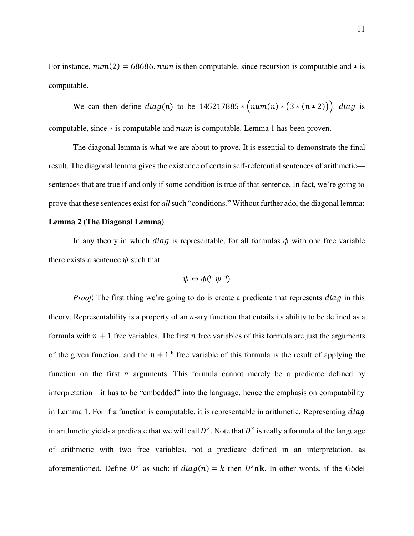For instance,  $num(2) = 68686$ .  $num$  is then computable, since recursion is computable and  $*$  is computable.

We can then define  $diag(n)$  to be 145217885 \*  $\left(num(n) * (3 * (n * 2))\right)$ . diag is computable, since  $*$  is computable and  $num$  is computable. Lemma 1 has been proven.

The diagonal lemma is what we are about to prove. It is essential to demonstrate the final result. The diagonal lemma gives the existence of certain self-referential sentences of arithmetic sentences that are true if and only if some condition is true of that sentence. In fact, we're going to prove that these sentences exist for all such "conditions." Without further ado, the diagonal lemma:

# **Lemma 2 (The Diagonal Lemma)**

In any theory in which *diag* is representable, for all formulas  $\phi$  with one free variable there exists a sentence  $\psi$  such that:

$$
\psi \leftrightarrow \phi(\ulcorner \psi \urcorner)
$$

*Proof*: The first thing we're going to do is create a predicate that represents *diag* in this theory. Representability is a property of an  $n$ -ary function that entails its ability to be defined as a formula with  $n + 1$  free variables. The first n free variables of this formula are just the arguments of the given function, and the  $n + 1<sup>th</sup>$  free variable of this formula is the result of applying the function on the first  $n$  arguments. This formula cannot merely be a predicate defined by interpretation—it has to be "embedded" into the language, hence the emphasis on computability in Lemma 1. For if a function is computable, it is representable in arithmetic. Representing  $diag$ in arithmetic yields a predicate that we will call  $D^2$ . Note that  $D^2$  is really a formula of the language of arithmetic with two free variables, not a predicate defined in an interpretation, as aforementioned. Define  $D^2$  as such: if  $diag(n) = k$  then  $D^2$ nk. In other words, if the Gödel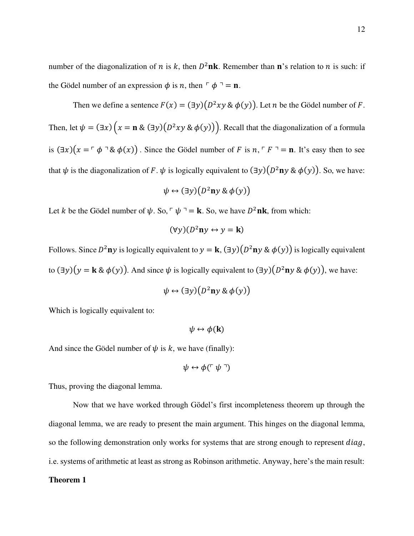number of the diagonalization of *n* is *k*, then  $D^2$ **nk**. Remember than **n**'s relation to *n* is such: if the Gödel number of an expression  $\phi$  is *n*, then  $\phi \circ \phi = \mathbf{n}$ .

Then we define a sentence  $F(x) = (\exists y)(D^2xy \& \phi(y))$ . Let *n* be the Gödel number of *F*. Then, let  $\psi = (\exists x) (x = \mathbf{n} \& (\exists y) (D^2xy \& \phi(y)))$ . Recall that the diagonalization of a formula is  $(\exists x)(x = \neg \phi \neg \& \phi(x))$ . Since the Gödel number of F is  $n, \neg F \neg = n$ . It's easy then to see that  $\psi$  is the diagonalization of F.  $\psi$  is logically equivalent to  $(\exists y)(D^2 \mathbf{n} y \& \phi(y))$ . So, we have:

$$
\psi \leftrightarrow (\exists y) (D^2 \mathbf{n} y \& \phi(y))
$$

Let *k* be the Gödel number of  $\psi$ . So,  $\psi = \mathbf{k}$ . So, we have  $D^2$ **nk**, from which:

$$
(\forall y)(D^2\mathbf{n}y \leftrightarrow y = \mathbf{k})
$$

Follows. Since  $D^2$ ny is logically equivalent to  $y = \mathbf{k}$ ,  $(\exists y)(D^2$ ny &  $\phi(y))$  is logically equivalent to  $(\exists y)(y = k \& \phi(y))$ . And since  $\psi$  is logically equivalent to  $(\exists y)(D^2ny \& \phi(y))$ , we have:

$$
\psi \leftrightarrow (\exists y)(D^2\mathbf{n}y \& \phi(y))
$$

Which is logically equivalent to:

$$
\psi \leftrightarrow \phi(\mathbf{k})
$$

And since the Gödel number of  $\psi$  is k, we have (finally):

$$
\psi \leftrightarrow \phi (\ulcorner \psi \urcorner)
$$

Thus, proving the diagonal lemma.

Now that we have worked through Gödel's first incompleteness theorem up through the diagonal lemma, we are ready to present the main argument. This hinges on the diagonal lemma, so the following demonstration only works for systems that are strong enough to represent  $diag$ , i.e. systems of arithmetic at least as strong as Robinson arithmetic. Anyway, here's the main result:

# **Theorem 1**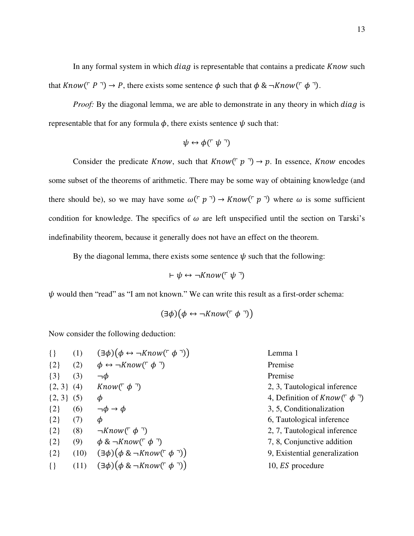In any formal system in which  $diag$  is representable that contains a predicate  $Know$  such that  $Know(\ulcorner P \urcorner) \rightarrow P$ , there exists some sentence  $\phi$  such that  $\phi \& \neg Know(\ulcorner \phi \urcorner)$ .

*Proof*: By the diagonal lemma, we are able to demonstrate in any theory in which  $diag$  is representable that for any formula  $\phi$ , there exists sentence  $\psi$  such that:

$$
\psi \leftrightarrow \phi (\ulcorner \psi \urcorner)
$$

Consider the predicate *Know*, such that  $Know(\ulcorner p \urcorner) \rightarrow p$ . In essence, *Know* encodes some subset of the theorems of arithmetic. There may be some way of obtaining knowledge (and there should be), so we may have some  $\omega(\ulcorner p \urcorner) \rightarrow Know(\ulcorner p \urcorner)$  where  $\omega$  is some sufficient condition for knowledge. The specifics of  $\omega$  are left unspecified until the section on Tarski's indefinability theorem, because it generally does not have an effect on the theorem.

By the diagonal lemma, there exists some sentence  $\psi$  such that the following:

$$
\vdash \psi \leftrightarrow \neg \textit{Know}(\ulcorner \psi \urcorner)
$$

 $\psi$  would then "read" as "I am not known." We can write this result as a first-order schema:

$$
(\exists \phi)(\phi \leftrightarrow \neg \textit{Know}(\ulcorner \phi \urcorner))
$$

Now consider the following deduction:

| (1)            | $(\exists \phi)(\phi \leftrightarrow \neg Know(\ulcorner \phi \urcorner))$ | Lemma 1                                 |
|----------------|----------------------------------------------------------------------------|-----------------------------------------|
| (2)            | $\phi \leftrightarrow \neg \textit{Know}(\ulcorner \phi \urcorner)$        | Premise                                 |
| (3)            | $\neg \phi$                                                                | Premise                                 |
| $\{2, 3\}$ (4) | <i>Know</i> ( $\phi$ )                                                     | 2, 3, Tautological inference            |
| $\{2, 3\}$ (5) | Φ                                                                          | 4, Definition of <i>Know</i> ( $\phi$ ) |
| (6)            | $\neg \phi \rightarrow \phi$                                               | 3, 5, Conditionalization                |
| (7)            | Φ                                                                          | 6, Tautological inference               |
| (8)            | $\neg Know(\ulcorner \phi \urcorner)$                                      | 2, 7, Tautological inference            |
| (9)            | $\phi \& \neg Know(\ulcorner \phi \urcorner)$                              | 7, 8, Conjunctive addition              |
| (10)           | $(\exists \phi)(\phi \& \neg Know(\ulcorner \phi \urcorner))$              | 9, Existential generalization           |
| (11)           | $(\exists \phi)(\phi \& \neg Know(\ulcorner \phi \urcorner))$              | 10, <i>ES</i> procedure                 |
|                |                                                                            |                                         |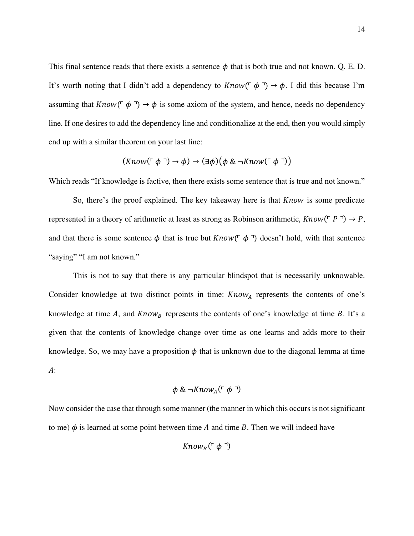This final sentence reads that there exists a sentence  $\phi$  that is both true and not known. Q. E. D. It's worth noting that I didn't add a dependency to  $Know(\ulcorner \phi \urcorner) \rightarrow \phi$ . I did this because I'm assuming that  $Know(\ulcorner \phi \urcorner) \rightarrow \phi$  is some axiom of the system, and hence, needs no dependency line. If one desires to add the dependency line and conditionalize at the end, then you would simply end up with a similar theorem on your last line:

$$
(Know(\ulcorner \phi \urcorner) \rightarrow \phi) \rightarrow (\exists \phi) (\phi \& \neg Know(\ulcorner \phi \urcorner))
$$

Which reads "If knowledge is factive, then there exists some sentence that is true and not known."

So, there's the proof explained. The key takeaway here is that  $Know$  is some predicate represented in a theory of arithmetic at least as strong as Robinson arithmetic,  $Know(\ulcorner P \urcorner) \rightarrow P$ , and that there is some sentence  $\phi$  that is true but  $Know(\ulcorner \phi \urcorner)$  doesn't hold, with that sentence "saying" "I am not known."

 This is not to say that there is any particular blindspot that is necessarily unknowable. Consider knowledge at two distinct points in time:  $Know<sub>A</sub>$  represents the contents of one's knowledge at time A, and  $Know_B$  represents the contents of one's knowledge at time B. It's a given that the contents of knowledge change over time as one learns and adds more to their knowledge. So, we may have a proposition  $\phi$  that is unknown due to the diagonal lemma at time  $A$ :

$$
\phi \& \neg \textit{Know}_A(\ulcorner \phi \urcorner)
$$

Now consider the case that through some manner (the manner in which this occurs is not significant to me)  $\phi$  is learned at some point between time A and time B. Then we will indeed have

$$
Know_B(\ulcorner \phi \urcorner)
$$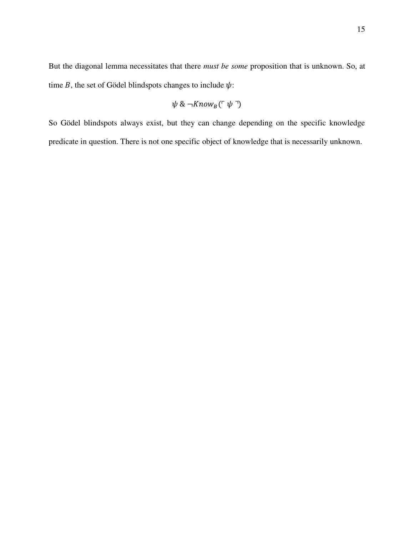But the diagonal lemma necessitates that there must be some proposition that is unknown. So, at time  $B$ , the set of Gödel blindspots changes to include  $\psi$ :

$$
\psi \& \neg Know_B(\ulcorner \psi \urcorner)
$$

So Gödel blindspots always exist, but they can change depending on the specific knowledge predicate in question. There is not one specific object of knowledge that is necessarily unknown.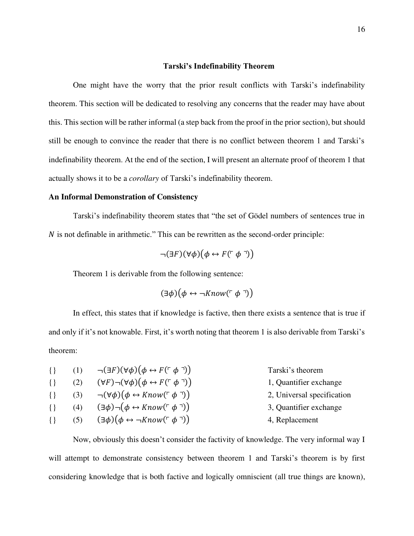#### Tarski's Indefinability Theorem

 One might have the worry that the prior result conflicts with Tarski's indefinability theorem. This section will be dedicated to resolving any concerns that the reader may have about this. This section will be rather informal (a step back from the proof in the prior section), but should still be enough to convince the reader that there is no conflict between theorem 1 and Tarski's indefinability theorem. At the end of the section, I will present an alternate proof of theorem 1 that actually shows it to be a corollary of Tarski's indefinability theorem.

# **An Informal Demonstration of Consistency**

Tarski's indefinability theorem states that "the set of Gödel numbers of sentences true in  $N$  is not definable in arithmetic." This can be rewritten as the second-order principle:

$$
\neg(\exists F)(\forall \phi)(\phi \leftrightarrow F(\ulcorner \phi \urcorner))
$$

Theorem 1 is derivable from the following sentence:

$$
(\exists \phi)(\phi \leftrightarrow \neg \textit{Know}(\ulcorner \phi \urcorner))
$$

In effect, this states that if knowledge is factive, then there exists a sentence that is true if and only if it's not knowable. First, it's worth noting that theorem 1 is also derivable from Tarski's theorem:

|        |     | $\{\}\$ (1) $\neg(\exists F)(\forall \phi)(\phi \leftrightarrow F(\ulcorner \phi \urcorner))$ | Tarski's theorem           |
|--------|-----|-----------------------------------------------------------------------------------------------|----------------------------|
| $\{\}$ | (2) | $(\forall F) \neg (\forall \phi) (\phi \leftrightarrow F(\ulcorner \phi \urcorner))$          | 1, Quantifier exchange     |
| $\{\}$ |     | (3) $\neg(\forall \phi)(\phi \leftrightarrow Know(\ulcorner \phi \urcorner))$                 | 2, Universal specification |
| $\{\}$ | (4) | $(\exists \phi) \neg (\phi \leftrightarrow Know(\ulcorner \phi \urcorner))$                   | 3, Quantifier exchange     |
| $\{\}$ | (5) | $(\exists \phi)(\phi \leftrightarrow \neg Know(\ulcorner \phi \urcorner))$                    | 4, Replacement             |
|        |     |                                                                                               |                            |

Now, obviously this doesn't consider the factivity of knowledge. The very informal way I will attempt to demonstrate consistency between theorem 1 and Tarski's theorem is by first considering knowledge that is both factive and logically omniscient (all true things are known),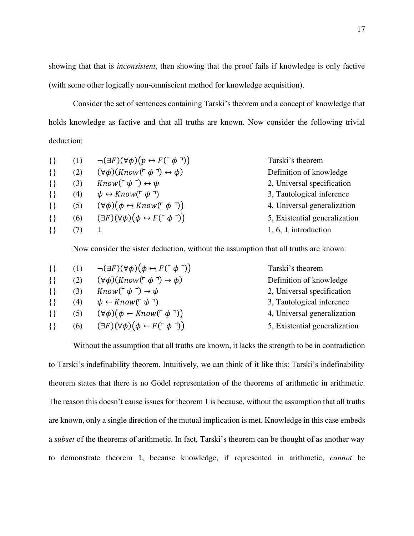showing that that is inconsistent, then showing that the proof fails if knowledge is only factive (with some other logically non-omniscient method for knowledge acquisition).

Consider the set of sentences containing Tarski's theorem and a concept of knowledge that holds knowledge as factive and that all truths are known. Now consider the following trivial deduction:

| $\{\}$ | (1) | $\neg(\exists F)(\forall \phi)(p \leftrightarrow F(\ulcorner \phi \urcorner))$ | Tarski's theorem              |
|--------|-----|--------------------------------------------------------------------------------|-------------------------------|
| $\{\}$ | (2) | $(\forall \phi)(Know(\ulcorner \phi \urcorner) \leftrightarrow \phi)$          | Definition of knowledge       |
| $\{\}$ | (3) | Know( $\ulcorner \psi \urcorner$ ) $\leftrightarrow \psi$                      | 2, Universal specification    |
| $\{\}$ | (4) | $\psi \leftrightarrow Know(\ulcorner \psi \urcorner)$                          | 3, Tautological inference     |
| $\{\}$ | (5) | $(\forall \phi)(\phi \leftrightarrow Know(\ulcorner \phi \urcorner))$          | 4, Universal generalization   |
| $\{\}$ | (6) | $(\exists F)(\forall \phi)(\phi \leftrightarrow F(\ulcorner \phi \urcorner))$  | 5, Existential generalization |
| $\{\}$ |     |                                                                                | 1, 6, $\perp$ introduction    |
|        |     |                                                                                |                               |

Now consider the sister deduction, without the assumption that all truths are known:

| $\{\}$ | (1) | $\neg(\exists F)(\forall \phi)(\phi \leftrightarrow F(\ulcorner \phi \urcorner))$ | Tarski's theorem              |
|--------|-----|-----------------------------------------------------------------------------------|-------------------------------|
| $\{\}$ | (2) | $(\forall \phi)(Know(\ulcorner \phi \urcorner) \rightarrow \phi)$                 | Definition of knowledge       |
| $\{\}$ | (3) | $Know(\ulcorner \psi \urcorner) \rightarrow \psi$                                 | 2, Universal specification    |
| $\{\}$ | (4) | $\psi \leftarrow Know(\ulcorner \psi \urcorner)$                                  | 3, Tautological inference     |
| $\{\}$ | (5) | $(\forall \phi)(\phi \leftarrow Know(\ulcorner \phi \urcorner))$                  | 4, Universal generalization   |
| $\{\}$ | (6) | $(\exists F)(\forall \phi)(\phi \leftarrow F(\ulcorner \phi \urcorner))$          | 5, Existential generalization |
|        |     |                                                                                   |                               |

 Without the assumption that all truths are known, it lacks the strength to be in contradiction to Tarski's indefinability theorem. Intuitively, we can think of it like this: Tarski's indefinability theorem states that there is no Gödel representation of the theorems of arithmetic in arithmetic. The reason this doesn't cause issues for theorem 1 is because, without the assumption that all truths are known, only a single direction of the mutual implication is met. Knowledge in this case embeds a subset of the theorems of arithmetic. In fact, Tarski's theorem can be thought of as another way to demonstrate theorem 1, because knowledge, if represented in arithmetic, cannot be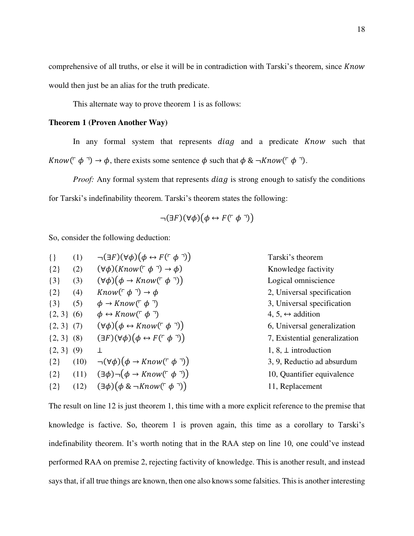comprehensive of all truths, or else it will be in contradiction with Tarski's theorem, since Know would then just be an alias for the truth predicate.

This alternate way to prove theorem 1 is as follows:

# **Theorem 1 (Proven Another Way)**

In any formal system that represents  $diag$  and a predicate  $Know$  such that Know( $\ulcorner \phi \urcorner$ )  $\rightarrow \phi$ , there exists some sentence  $\phi$  such that  $\phi \& \neg Know(\ulcorner \phi \urcorner)$ .

*Proof:* Any formal system that represents  $diag$  is strong enough to satisfy the conditions for Tarski's indefinability theorem. Tarski's theorem states the following:

$$
\neg(\exists F)(\forall \phi)(\phi \leftrightarrow F(\ulcorner \phi \urcorner))
$$

So, consider the following deduction:

| (1)            | $\neg(\exists F)(\forall \phi)(\phi \leftrightarrow F(\ulcorner \phi \urcorner))$ | Tarski's theorem                 |
|----------------|-----------------------------------------------------------------------------------|----------------------------------|
| (2)            | $(\forall \phi)(Know(\ulcorner \phi \urcorner) \rightarrow \phi)$                 | Knowledge factivity              |
| (3)            | $(\forall \phi)(\phi \rightarrow Know(\ulcorner \phi \urcorner))$                 | Logical omniscience              |
| (4)            | $Know(\ulcorner \phi \urcorner) \rightarrow \phi$                                 | 2, Universal specification       |
| (5)            | $\phi \rightarrow Know(\ulcorner \phi \urcorner)$                                 | 3, Universal specification       |
| $\{2, 3\}$ (6) | $\phi \leftrightarrow Know(\ulcorner \phi \urcorner)$                             | 4, 5, $\leftrightarrow$ addition |
| $\{2, 3\}$ (7) | $(\forall \phi)(\phi \leftrightarrow Know(\ulcorner \phi \urcorner))$             | 6, Universal generalization      |
| $\{2, 3\}$ (8) | $(\exists F)(\forall \phi)(\phi \leftrightarrow F(\ulcorner \phi \urcorner))$     | 7, Existential generalization    |
| (9)            | ⊥                                                                                 | $1, 8, \perp$ introduction       |
| (10)           | $\neg(\forall \phi)(\phi \rightarrow Know(\ulcorner \phi \urcorner))$             | 3, 9, Reductio ad absurdum       |
| (11)           | $(\exists \phi) \neg (\phi \rightarrow Know(\ulcorner \phi \urcorner))$           | 10, Quantifier equivalence       |
| (12)           | $(\exists \phi)(\phi \& \neg Know(\ulcorner \phi \urcorner))$                     | 11, Replacement                  |
|                |                                                                                   |                                  |

The result on line 12 is just theorem 1, this time with a more explicit reference to the premise that knowledge is factive. So, theorem 1 is proven again, this time as a corollary to Tarski's indefinability theorem. It's worth noting that in the RAA step on line 10, one could've instead performed RAA on premise 2, rejecting factivity of knowledge. This is another result, and instead says that, if all true things are known, then one also knows some falsities. This is another interesting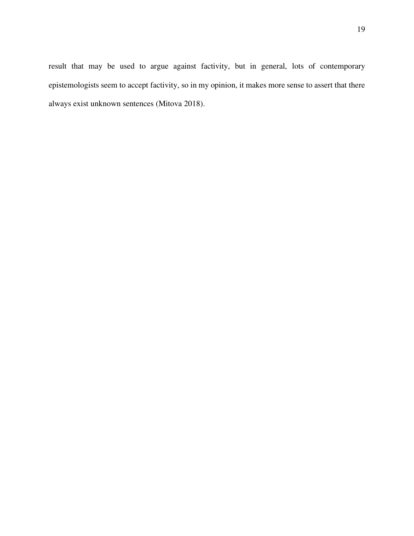19

result that may be used to argue against factivity, but in general, lots of contemporary epistemologists seem to accept factivity, so in my opinion, it makes more sense to assert that there always exist unknown sentences (Mitova 2018).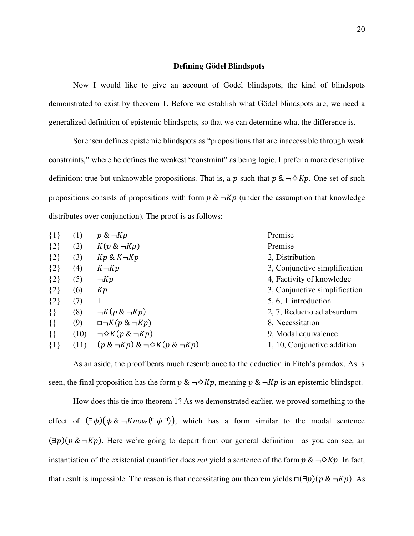#### **Defining Gödel Blindspots**

 Now I would like to give an account of Gödel blindspots, the kind of blindspots demonstrated to exist by theorem 1. Before we establish what Gödel blindspots are, we need a generalized definition of epistemic blindspots, so that we can determine what the difference is.

Sorensen defines epistemic blindspots as "propositions that are inaccessible through weak constraints," where he defines the weakest "constraint" as being logic. I prefer a more descriptive definition: true but unknowable propositions. That is, a p such that  $p \& \neg \Diamond Kp$ . One set of such propositions consists of propositions with form  $p \& \neg Kp$  (under the assumption that knowledge distributes over conjunction). The proof is as follows:

| $\{1\}$ | (1)  | $p \& \neg Kp$                                    | Premise                       |
|---------|------|---------------------------------------------------|-------------------------------|
| ${2}$   | (2)  | $K(p \& \neg Kp)$                                 | Premise                       |
| ${2}$   | (3)  | $Kp \& K \neg Kp$                                 | 2, Distribution               |
| ${2}$   | (4)  | $K \neg Kp$                                       | 3, Conjunctive simplification |
| ${2}$   | (5)  | $\neg Kp$                                         | 4, Factivity of knowledge     |
| ${2}$   | (6)  | Kp                                                | 3, Conjunctive simplification |
| ${2}$   | (7)  | ⊥                                                 | 5, 6, $\perp$ introduction    |
| $\{\}$  | (8)  | $\neg K(p \& \neg Kp)$                            | 2, 7, Reductio ad absurdum    |
| $\{\}$  | (9)  | $\Box \neg K(p \& \neg Kp)$                       | 8, Necessitation              |
| $\{\}$  | (10) | $\neg \Diamond K(p \& \neg Kp)$                   | 9, Modal equivalence          |
| $\{1\}$ | (11) | $(p \& \neg Kp) \& \neg \diamond K(p \& \neg Kp)$ | 1, 10, Conjunctive addition   |

As an aside, the proof bears much resemblance to the deduction in Fitch's paradox. As is seen, the final proposition has the form  $p \& \neg \Diamond Kp$ , meaning  $p \& \neg Kp$  is an epistemic blindspot.

 How does this tie into theorem 1? As we demonstrated earlier, we proved something to the effect of  $(\exists \phi)(\phi \& \neg Know(\neg \phi \neg))$ , which has a form similar to the modal sentence  $(\exists p)(p \& \neg Kp)$ . Here we're going to depart from our general definition—as you can see, an instantiation of the existential quantifier does *not* yield a sentence of the form  $p \& \neg \Diamond Kp$ . In fact, that result is impossible. The reason is that necessitating our theorem yields  $\Box(\exists p)(p \& \neg Kp)$ . As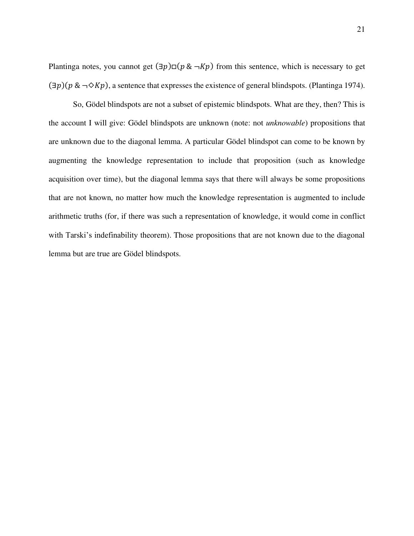Plantinga notes, you cannot get  $(\exists p) \Box (p \& \neg Kp)$  from this sentence, which is necessary to get  $(\exists p)(p \& \neg \Diamond Kp)$ , a sentence that expresses the existence of general blindspots. (Plantinga 1974).

 So, Gödel blindspots are not a subset of epistemic blindspots. What are they, then? This is the account I will give: Gödel blindspots are unknown (note: not unknowable) propositions that are unknown due to the diagonal lemma. A particular Gödel blindspot can come to be known by augmenting the knowledge representation to include that proposition (such as knowledge acquisition over time), but the diagonal lemma says that there will always be some propositions that are not known, no matter how much the knowledge representation is augmented to include arithmetic truths (for, if there was such a representation of knowledge, it would come in conflict with Tarski's indefinability theorem). Those propositions that are not known due to the diagonal lemma but are true are Gödel blindspots.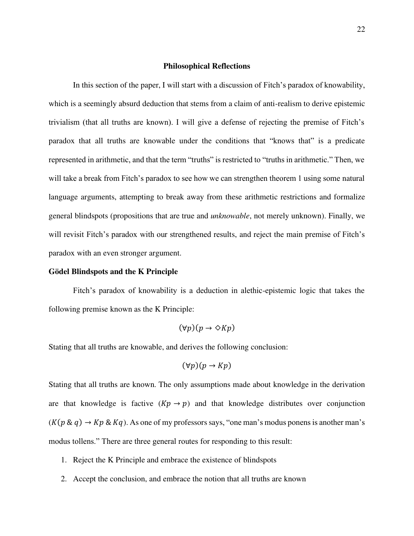#### **Philosophical Reflections**

 In this section of the paper, I will start with a discussion of Fitch's paradox of knowability, which is a seemingly absurd deduction that stems from a claim of anti-realism to derive epistemic trivialism (that all truths are known). I will give a defense of rejecting the premise of Fitch's paradox that all truths are knowable under the conditions that "knows that" is a predicate represented in arithmetic, and that the term "truths" is restricted to "truths in arithmetic." Then, we will take a break from Fitch's paradox to see how we can strengthen theorem 1 using some natural language arguments, attempting to break away from these arithmetic restrictions and formalize general blindspots (propositions that are true and unknowable, not merely unknown). Finally, we will revisit Fitch's paradox with our strengthened results, and reject the main premise of Fitch's paradox with an even stronger argument.

# **Gödel Blindspots and the K Principle**

Fitch's paradox of knowability is a deduction in alethic-epistemic logic that takes the following premise known as the K Principle:

$$
(\forall p)(p \to \Diamond Kp)
$$

Stating that all truths are knowable, and derives the following conclusion:

$$
(\forall p)(p \to Kp)
$$

Stating that all truths are known. The only assumptions made about knowledge in the derivation are that knowledge is factive  $(Kp \rightarrow p)$  and that knowledge distributes over conjunction  $(K(p \& q) \rightarrow Kp \& Kq)$ . As one of my professors says, "one man's modus ponens is another man's modus tollens." There are three general routes for responding to this result:

- 1. Reject the K Principle and embrace the existence of blindspots
- 2. Accept the conclusion, and embrace the notion that all truths are known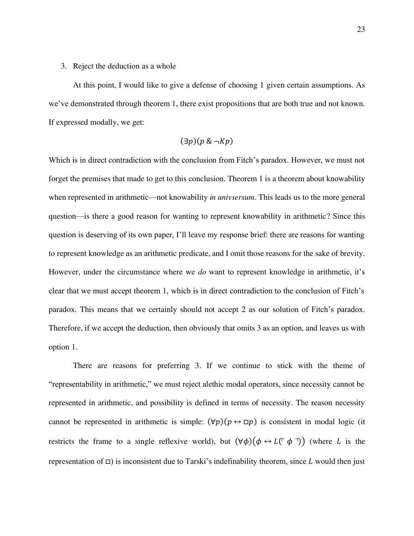### 3. Reject the deduction as a whole

At this point, I would like to give a defense of choosing 1 given certain assumptions. As we've demonstrated through theorem 1, there exist propositions that are both true and not known. If expressed modally, we get:

$$
(\exists p)(p \& \neg Kp)
$$

Which is in direct contradiction with the conclusion from Fitch's paradox. However, we must not forget the premises that made to get to this conclusion. Theorem 1 is a theorem about knowability when represented in arithmetic—not knowability *in univsersum*. This leads us to the more general question—is there a good reason for wanting to represent knowability in arithmetic? Since this question is deserving of its own paper, I'll leave my response brief: there are reasons for wanting to represent knowledge as an arithmetic predicate, and I omit those reasons for the sake of brevity. However, under the circumstance where we *do* want to represent knowledge in arithmetic, it's clear that we must accept theorem 1, which is in direct contradiction to the conclusion of Fitch's paradox. This means that we certainly should not accept 2 as our solution of Fitch's paradox. Therefore, if we accept the deduction, then obviously that omits 3 as an option, and leaves us with option 1.

There are reasons for preferring 3. If we continue to stick with the theme of "representability in arithmetic," we must reject alethic modal operators, since necessity cannot be represented in arithmetic, and possibility is defined in terms of necessity. The reason necessity cannot be represented in arithmetic is simple:  $(\forall p)(p \leftrightarrow \Box p)$  is consistent in modal logic (it restricts the frame to a single reflexive world), but  $(\forall \phi)(\phi \leftrightarrow L(\neg \phi \neg))$  (where L is the representation of  $\Box$ ) is inconsistent due to Tarski's indefinability theorem, since L would then just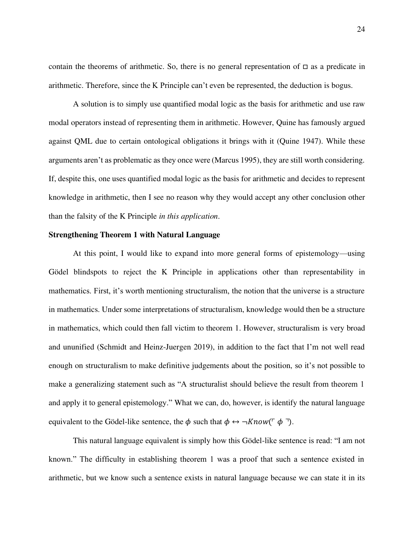contain the theorems of arithmetic. So, there is no general representation of  $\Box$  as a predicate in arithmetic. Therefore, since the K Principle can't even be represented, the deduction is bogus.

A solution is to simply use quantified modal logic as the basis for arithmetic and use raw modal operators instead of representing them in arithmetic. However, Quine has famously argued against QML due to certain ontological obligations it brings with it (Quine 1947). While these arguments aren't as problematic as they once were (Marcus 1995), they are still worth considering. If, despite this, one uses quantified modal logic as the basis for arithmetic and decides to represent knowledge in arithmetic, then I see no reason why they would accept any other conclusion other than the falsity of the K Principle in this application.

# **Strengthening Theorem 1 with Natural Language**

At this point, I would like to expand into more general forms of epistemology—using Gödel blindspots to reject the K Principle in applications other than representability in mathematics. First, it's worth mentioning structuralism, the notion that the universe is a structure in mathematics. Under some interpretations of structuralism, knowledge would then be a structure in mathematics, which could then fall victim to theorem 1. However, structuralism is very broad and ununified (Schmidt and Heinz-Juergen 2019), in addition to the fact that I'm not well read enough on structuralism to make definitive judgements about the position, so it's not possible to make a generalizing statement such as "A structuralist should believe the result from theorem 1 and apply it to general epistemology." What we can, do, however, is identify the natural language equivalent to the Gödel-like sentence, the  $\phi$  such that  $\phi \leftrightarrow \neg Know(\ulcorner \phi \urcorner).$ 

This natural language equivalent is simply how this Gödel-like sentence is read: "I am not known." The difficulty in establishing theorem 1 was a proof that such a sentence existed in arithmetic, but we know such a sentence exists in natural language because we can state it in its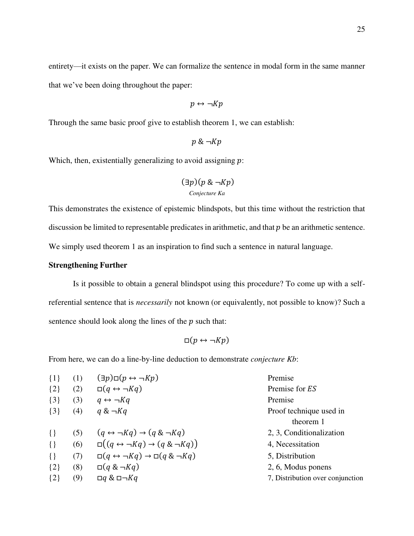entirety—it exists on the paper. We can formalize the sentence in modal form in the same manner that we've been doing throughout the paper:

$$
p \leftrightarrow \neg Kp
$$

Through the same basic proof give to establish theorem 1, we can establish:

 $p \& \neg Kp$ 

Which, then, existentially generalizing to avoid assigning  $p$ :

$$
(\exists p)(p \& \neg Kp)
$$
  
Conjecture Ka

This demonstrates the existence of epistemic blindspots, but this time without the restriction that discussion be limited to representable predicates in arithmetic, and that  $p$  be an arithmetic sentence. We simply used theorem 1 as an inspiration to find such a sentence in natural language.

# **Strengthening Further**

 Is it possible to obtain a general blindspot using this procedure? To come up with a selfreferential sentence that is necessarily not known (or equivalently, not possible to know)? Such a sentence should look along the lines of the  $p$  such that:

$$
\Box(p \leftrightarrow \neg Kp)
$$

From here, we can do a line-by-line deduction to demonstrate *conjecture Kb*:

| $\{1\}$ | (1) | $(\exists p) \square (p \leftrightarrow \neg Kp)$                | Premise                          |
|---------|-----|------------------------------------------------------------------|----------------------------------|
| $\{2\}$ | (2) | $\Box(q \leftrightarrow \neg Kq)$                                | Premise for ES                   |
| $\{3\}$ | (3) | $q \leftrightarrow \neg Kq$                                      | Premise                          |
| $\{3\}$ | (4) | $q \& \neg Kq$                                                   | Proof technique used in          |
|         |     |                                                                  | theorem 1                        |
| $\{\}$  | (5) | $(q \leftrightarrow \neg Kq) \rightarrow (q \& \neg Kq)$         | 2, 3, Conditionalization         |
| $\{\}$  | (6) | $\Box((q \leftrightarrow \neg Kq) \rightarrow (q \& \neg Kq))$   | 4, Necessitation                 |
| $\{\}$  | (7) | $\Box(q \leftrightarrow \neg Kq) \rightarrow \Box(q \& \neg Kq)$ | 5, Distribution                  |
| $\{2\}$ | (8) | $\Box(q \& \neg Kq)$                                             | 2, 6, Modus ponens               |
| $\{2\}$ | (9) | $\Box q \& \Box \neg Kq$                                         | 7, Distribution over conjunction |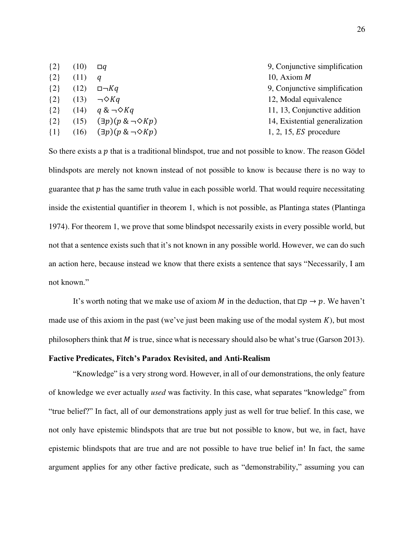| $\{2\}$ | (10) | $\Box$ a                             | 9, Conjunctive simplification  |
|---------|------|--------------------------------------|--------------------------------|
| $\{2\}$ | (11) | a                                    | 10, Axiom $M$                  |
| $\{2\}$ | (12) | $\Box \neg Kq$                       | 9, Conjunctive simplification  |
| $\{2\}$ | (13) | $\neg \Diamond Kq$                   | 12, Modal equivalence          |
| $\{2\}$ |      | $(14)$ $q & \neg \Diamond Kq$        | 11, 13, Conjunctive addition   |
| $\{2\}$ | (15) | $(\exists p)(p \& \neg \Diamond Kp)$ | 14, Existential generalization |
| $\{1\}$ | (16) | $(\exists p)(p \& \neg \Diamond Kp)$ | $1, 2, 15, ES$ procedure       |

So there exists a  $p$  that is a traditional blindspot, true and not possible to know. The reason Gödel blindspots are merely not known instead of not possible to know is because there is no way to guarantee that  $p$  has the same truth value in each possible world. That would require necessitating inside the existential quantifier in theorem 1, which is not possible, as Plantinga states (Plantinga 1974). For theorem 1, we prove that some blindspot necessarily exists in every possible world, but not that a sentence exists such that it's not known in any possible world. However, we can do such an action here, because instead we know that there exists a sentence that says "Necessarily, I am not known."

It's worth noting that we make use of axiom M in the deduction, that  $\Box p \rightarrow p$ . We haven't made use of this axiom in the past (we've just been making use of the modal system  $K$ ), but most philosophers think that  $M$  is true, since what is necessary should also be what's true (Garson 2013).

# **Factive Predicates,** Fitch's Paradox Revisited**, and Anti-Realism**

"Knowledge" is a very strong word. However, in all of our demonstrations, the only feature of knowledge we ever actually used was factivity. In this case, what separates "knowledge" from "true belief?" In fact, all of our demonstrations apply just as well for true belief. In this case, we not only have epistemic blindspots that are true but not possible to know, but we, in fact, have epistemic blindspots that are true and are not possible to have true belief in! In fact, the same argument applies for any other factive predicate, such as "demonstrability," assuming you can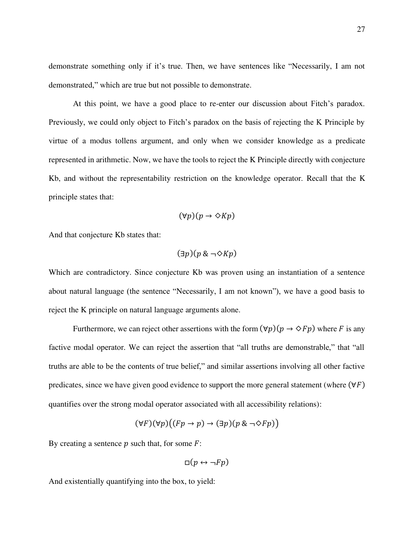demonstrate something only if it's true. Then, we have sentences like "Necessarily, I am not demonstrated," which are true but not possible to demonstrate.

 At this point, we have a good place to re-enter our discussion about Fitch's paradox. Previously, we could only object to Fitch's paradox on the basis of rejecting the K Principle by virtue of a modus tollens argument, and only when we consider knowledge as a predicate represented in arithmetic. Now, we have the tools to reject the K Principle directly with conjecture Kb, and without the representability restriction on the knowledge operator. Recall that the K principle states that:

$$
(\forall p)(p \to \Diamond Kp)
$$

And that conjecture Kb states that:

$$
(\exists p)(p \& \neg \Diamond Kp)
$$

Which are contradictory. Since conjecture Kb was proven using an instantiation of a sentence about natural language (the sentence "Necessarily, I am not known"), we have a good basis to reject the K principle on natural language arguments alone.

Furthermore, we can reject other assertions with the form  $(\forall p)(p \rightarrow \Diamond Fp)$  where F is any factive modal operator. We can reject the assertion that "all truths are demonstrable," that "all truths are able to be the contents of true belief," and similar assertions involving all other factive predicates, since we have given good evidence to support the more general statement (where  $(\forall F)$ ) quantifies over the strong modal operator associated with all accessibility relations):

$$
(\forall F)(\forall p)((Fp \to p) \to (\exists p)(p \& \neg \Diamond Fp))
$$

By creating a sentence  $p$  such that, for some  $F$ :

$$
\Box(p \leftrightarrow \neg Fp)
$$

And existentially quantifying into the box, to yield: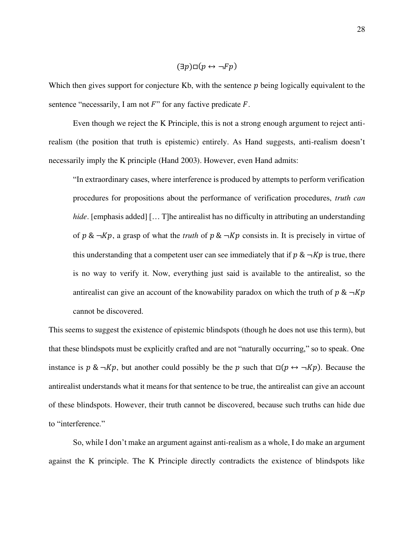$$
(\exists p)\Box(p \leftrightarrow \neg Fp)
$$

Which then gives support for conjecture Kb, with the sentence  $p$  being logically equivalent to the sentence "necessarily, I am not  $F$ " for any factive predicate  $F$ .

 Even though we reject the K Principle, this is not a strong enough argument to reject antirealism (the position that truth is epistemic) entirely. As Hand suggests, anti-realism doesn't necessarily imply the K principle (Hand 2003). However, even Hand admits:

"In extraordinary cases, where interference is produced by attempts to perform verification procedures for propositions about the performance of verification procedures, truth can hide. [emphasis added] [... T]he antirealist has no difficulty in attributing an understanding of  $p \& \neg Kp$ , a grasp of what the *truth* of  $p \& \neg Kp$  consists in. It is precisely in virtue of this understanding that a competent user can see immediately that if  $p \& \neg Kp$  is true, there is no way to verify it. Now, everything just said is available to the antirealist, so the antirealist can give an account of the knowability paradox on which the truth of  $p \& \neg Kp$ cannot be discovered.

This seems to suggest the existence of epistemic blindspots (though he does not use this term), but that these blindspots must be explicitly crafted and are not "naturally occurring," so to speak. One instance is  $p \& \neg Kp$ , but another could possibly be the p such that  $\Box(p \leftrightarrow \neg Kp)$ . Because the antirealist understands what it means for that sentence to be true, the antirealist can give an account of these blindspots. However, their truth cannot be discovered, because such truths can hide due to "interference."

So, while I don't make an argument against anti-realism as a whole, I do make an argument against the K principle. The K Principle directly contradicts the existence of blindspots like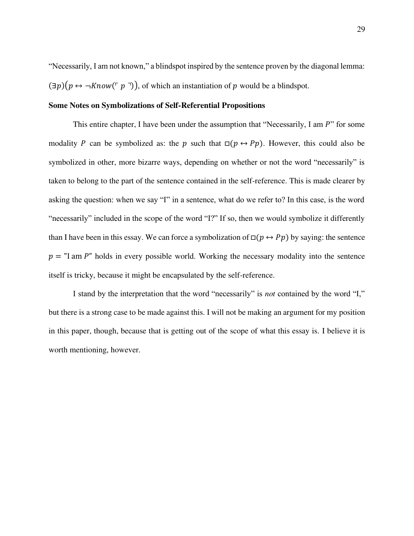"Necessarily, I am not known," a blindspot inspired by the sentence proven by the diagonal lemma:  $(\exists p)(p \leftrightarrow \neg \text{Know}(\neg p \neg))$ , of which an instantiation of p would be a blindspot.

# **Some Notes on Symbolizations of Self-Referential Propositions**

This entire chapter, I have been under the assumption that "Necessarily, I am  $P$ " for some modality P can be symbolized as: the p such that  $\square(p \leftrightarrow Pp)$ . However, this could also be symbolized in other, more bizarre ways, depending on whether or not the word "necessarily" is taken to belong to the part of the sentence contained in the self-reference. This is made clearer by asking the question: when we say "I" in a sentence, what do we refer to? In this case, is the word "necessarily" included in the scope of the word "I?" If so, then we would symbolize it differently than I have been in this essay. We can force a symbolization of  $\Box(p \leftrightarrow Pp)$  by saying: the sentence  $p =$  "I am P" holds in every possible world. Working the necessary modality into the sentence itself is tricky, because it might be encapsulated by the self-reference.

I stand by the interpretation that the word "necessarily" is not contained by the word "I," but there is a strong case to be made against this. I will not be making an argument for my position in this paper, though, because that is getting out of the scope of what this essay is. I believe it is worth mentioning, however.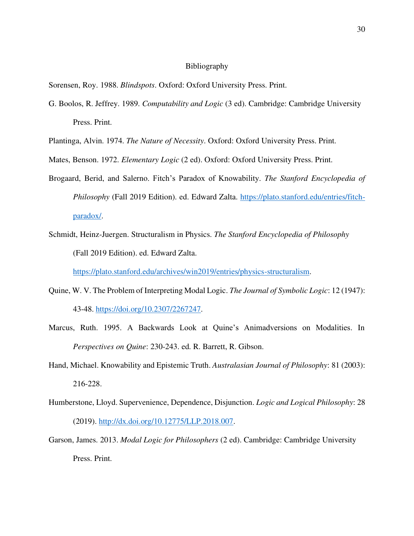# Bibliography

Sorensen, Roy. 1988. Blindspots. Oxford: Oxford University Press. Print.

G. Boolos, R. Jeffrey. 1989. Computability and Logic (3 ed). Cambridge: Cambridge University Press. Print.

Plantinga, Alvin. 1974. The Nature of Necessity. Oxford: Oxford University Press. Print.

Mates, Benson. 1972. Elementary Logic (2 ed). Oxford: Oxford University Press. Print.

- Brogaard, Berid, and Salerno. Fitch's Paradox of Knowability. The Stanford Encyclopedia of Philosophy (Fall 2019 Edition). ed. Edward Zalta. https://plato.stanford.edu/entries/fitchparadox/.
- Schmidt, Heinz-Juergen. Structuralism in Physics. The Stanford Encyclopedia of Philosophy (Fall 2019 Edition). ed. Edward Zalta.

https://plato.stanford.edu/archives/win2019/entries/physics-structuralism.

- Quine, W. V. The Problem of Interpreting Modal Logic. The Journal of Symbolic Logic: 12 (1947): 43-48. https://doi.org/10.2307/2267247.
- Marcus, Ruth. 1995. A Backwards Look at Quine's Animadversions on Modalities. In Perspectives on Quine: 230-243. ed. R. Barrett, R. Gibson.
- Hand, Michael. Knowability and Epistemic Truth. Australasian Journal of Philosophy: 81 (2003): 216-228.
- Humberstone, Lloyd. Supervenience, Dependence, Disjunction. Logic and Logical Philosophy: 28 (2019). http://dx.doi.org/10.12775/LLP.2018.007.
- Garson, James. 2013. Modal Logic for Philosophers (2 ed). Cambridge: Cambridge University Press. Print.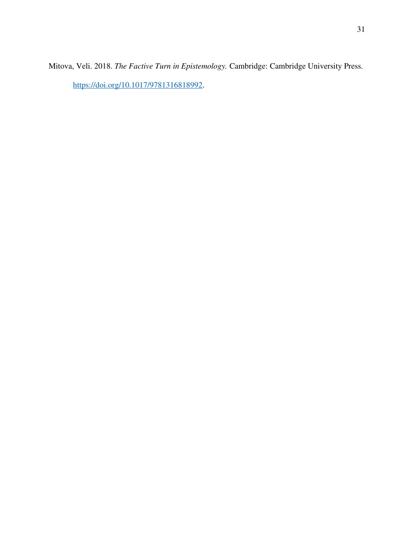Mitova, Veli. 2018. The Factive Turn in Epistemology. Cambridge: Cambridge University Press. https://doi.org/10.1017/9781316818992.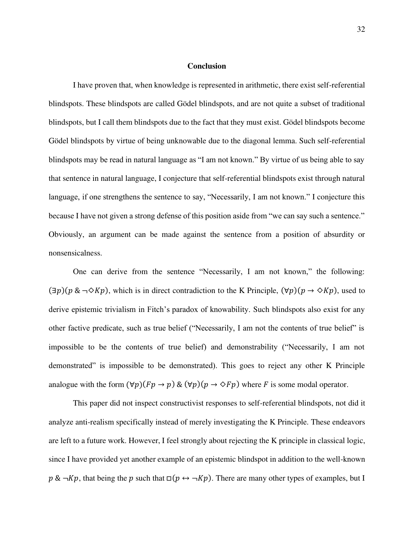#### **Conclusion**

 I have proven that, when knowledge is represented in arithmetic, there exist self-referential blindspots. These blindspots are called Gödel blindspots, and are not quite a subset of traditional blindspots, but I call them blindspots due to the fact that they must exist. Gödel blindspots become Gödel blindspots by virtue of being unknowable due to the diagonal lemma. Such self-referential blindspots may be read in natural language as "I am not known." By virtue of us being able to say that sentence in natural language, I conjecture that self-referential blindspots exist through natural language, if one strengthens the sentence to say, "Necessarily, I am not known." I conjecture this because I have not given a strong defense of this position aside from "we can say such a sentence." Obviously, an argument can be made against the sentence from a position of absurdity or nonsensicalness.

One can derive from the sentence "Necessarily, I am not known," the following:  $(\exists p)(p \& \neg \Diamond Kp)$ , which is in direct contradiction to the K Principle,  $(\forall p)(p \rightarrow \Diamond Kp)$ , used to derive epistemic trivialism in Fitch's paradox of knowability. Such blindspots also exist for any other factive predicate, such as true belief ("Necessarily, I am not the contents of true belief" is impossible to be the contents of true belief) and demonstrability ("Necessarily, I am not demonstrated" is impossible to be demonstrated). This goes to reject any other K Principle analogue with the form  $(\forall p)(Fp \rightarrow p)$  &  $(\forall p)(p \rightarrow \Diamond Fp)$  where F is some modal operator.

This paper did not inspect constructivist responses to self-referential blindspots, not did it analyze anti-realism specifically instead of merely investigating the K Principle. These endeavors are left to a future work. However, I feel strongly about rejecting the K principle in classical logic, since I have provided yet another example of an epistemic blindspot in addition to the well-known  $p \& \neg Kp$ , that being the p such that  $\Box(p \leftrightarrow \neg Kp)$ . There are many other types of examples, but I